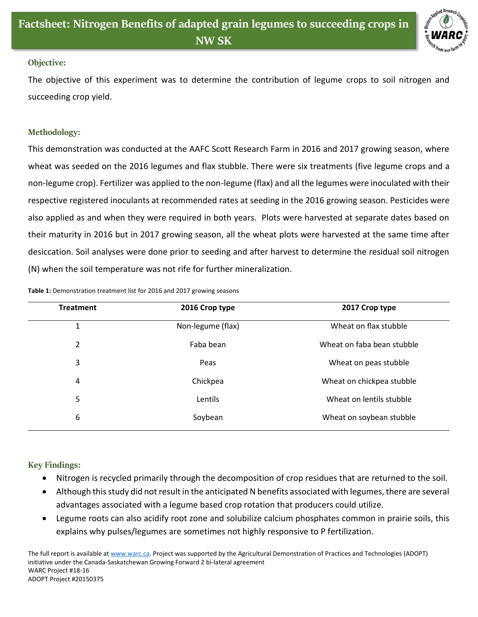

## **Objective:**

The objective of this experiment was to determine the contribution of legume crops to soil nitrogen and succeeding crop yield.

## **Methodology:**

This demonstration was conducted at the AAFC Scott Research Farm in 2016 and 2017 growing season, where wheat was seeded on the 2016 legumes and flax stubble. There were six treatments (five legume crops and a non-legume crop). Fertilizer was applied to the non-legume (flax) and all the legumes were inoculated with their respective registered inoculants at recommended rates at seeding in the 2016 growing season. Pesticides were also applied as and when they were required in both years. Plots were harvested at separate dates based on their maturity in 2016 but in 2017 growing season, all the wheat plots were harvested at the same time after desiccation. Soil analyses were done prior to seeding and after harvest to determine the residual soil nitrogen (N) when the soil temperature was not rife for further mineralization.

| <b>Treatment</b> | 2016 Crop type    | 2017 Crop type<br>Wheat on flax stubble |  |  |
|------------------|-------------------|-----------------------------------------|--|--|
| 1                | Non-legume (flax) |                                         |  |  |
| $\overline{2}$   | Faba bean         | Wheat on faba bean stubble              |  |  |
| 3                | Peas              | Wheat on peas stubble                   |  |  |
| 4                | Chickpea          | Wheat on chickpea stubble               |  |  |
| 5                | Lentils           | Wheat on lentils stubble                |  |  |
| 6                | Soybean           | Wheat on soybean stubble                |  |  |
|                  |                   |                                         |  |  |

**Table 1:** Demonstration treatment list for 2016 and 2017 growing seasons

## **Key Findings:**

- Nitrogen is recycled primarily through the decomposition of crop residues that are returned to the soil.
- Although this study did not result in the anticipated N benefits associated with legumes, there are several advantages associated with a legume based crop rotation that producers could utilize*.*
- Legume roots can also acidify root zone and solubilize calcium phosphates common in prairie soils, this explains why pulses/legumes are sometimes not highly responsive to P fertilization.

The full report is available at [www.warc.ca.](http://www.warc.ca/) Project was supported by the Agricultural Demonstration of Practices and Technologies (ADOPT) initiative under the Canada-Saskatchewan Growing Forward 2 bi-lateral agreement WARC Project #18-16 ADOPT Project #20150375